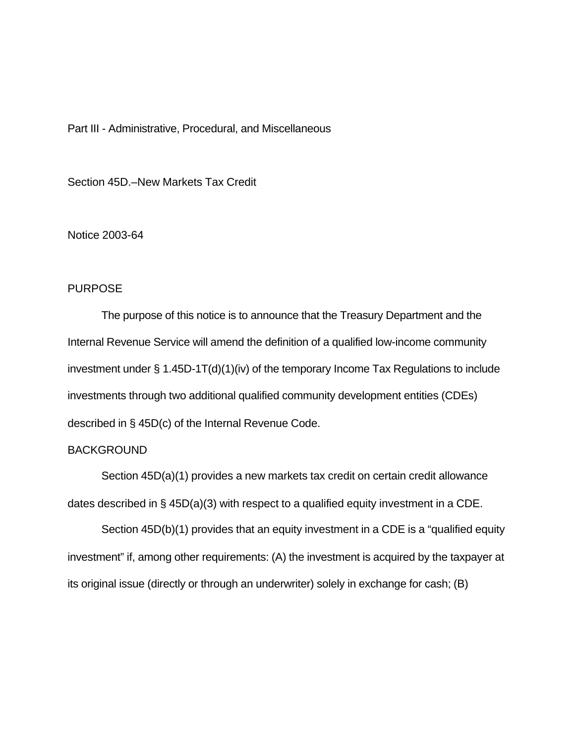## Part III - Administrative, Procedural, and Miscellaneous

Section 45D.–New Markets Tax Credit

#### Notice 2003-64

# PURPOSE

The purpose of this notice is to announce that the Treasury Department and the Internal Revenue Service will amend the definition of a qualified low-income community investment under § 1.45D-1T(d)(1)(iv) of the temporary Income Tax Regulations to include investments through two additional qualified community development entities (CDEs) described in § 45D(c) of the Internal Revenue Code.

## BACKGROUND

Section 45D(a)(1) provides a new markets tax credit on certain credit allowance dates described in § 45D(a)(3) with respect to a qualified equity investment in a CDE.

Section 45D(b)(1) provides that an equity investment in a CDE is a "qualified equity investment" if, among other requirements: (A) the investment is acquired by the taxpayer at its original issue (directly or through an underwriter) solely in exchange for cash; (B)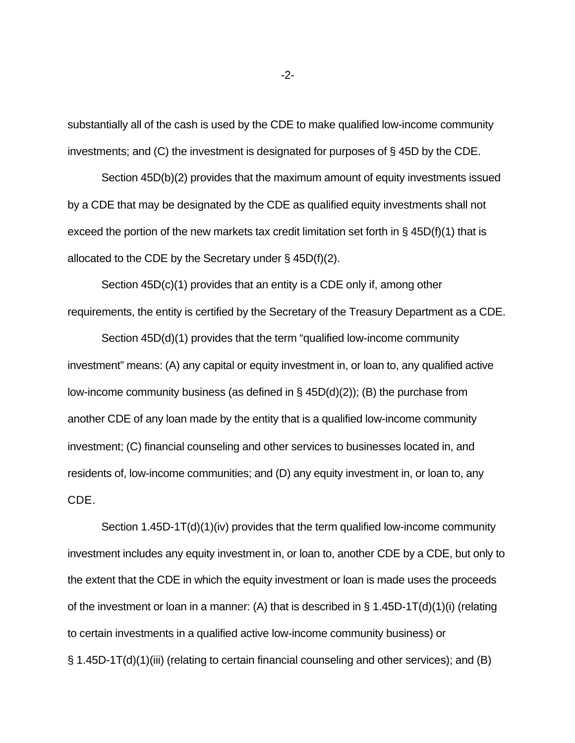substantially all of the cash is used by the CDE to make qualified low-income community investments; and (C) the investment is designated for purposes of § 45D by the CDE.

Section 45D(b)(2) provides that the maximum amount of equity investments issued by a CDE that may be designated by the CDE as qualified equity investments shall not exceed the portion of the new markets tax credit limitation set forth in § 45D(f)(1) that is allocated to the CDE by the Secretary under § 45D(f)(2).

Section 45D(c)(1) provides that an entity is a CDE only if, among other requirements, the entity is certified by the Secretary of the Treasury Department as a CDE.

Section 45D(d)(1) provides that the term "qualified low-income community investment" means: (A) any capital or equity investment in, or loan to, any qualified active low-income community business (as defined in § 45D(d)(2)); (B) the purchase from another CDE of any loan made by the entity that is a qualified low-income community investment; (C) financial counseling and other services to businesses located in, and residents of, low-income communities; and (D) any equity investment in, or loan to, any CDE.

Section 1.45D-1T(d)(1)(iv) provides that the term qualified low-income community investment includes any equity investment in, or loan to, another CDE by a CDE, but only to the extent that the CDE in which the equity investment or loan is made uses the proceeds of the investment or loan in a manner: (A) that is described in  $\S$  1.45D-1T(d)(1)(i) (relating to certain investments in a qualified active low-income community business) or § 1.45D-1T(d)(1)(iii) (relating to certain financial counseling and other services); and (B)

-2-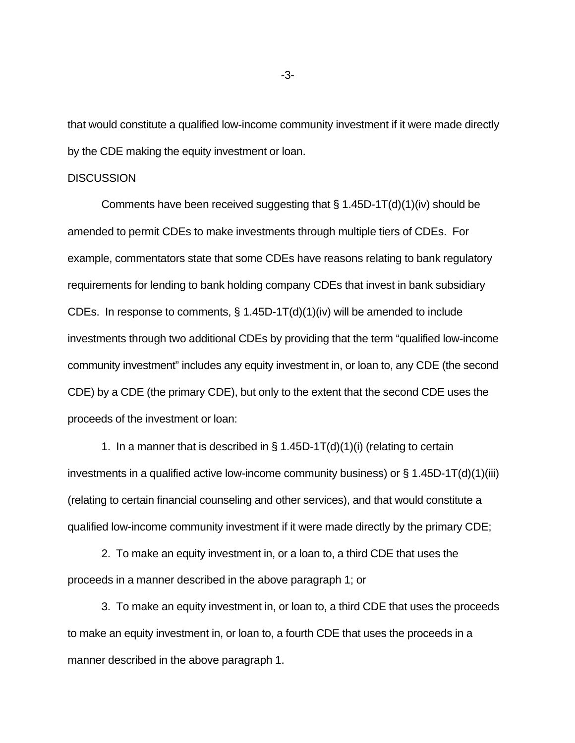that would constitute a qualified low-income community investment if it were made directly by the CDE making the equity investment or loan.

#### **DISCUSSION**

Comments have been received suggesting that  $\S 1.45D-1T(d)(1)(iv)$  should be amended to permit CDEs to make investments through multiple tiers of CDEs. For example, commentators state that some CDEs have reasons relating to bank regulatory requirements for lending to bank holding company CDEs that invest in bank subsidiary CDEs. In response to comments,  $\S 1.45D-1T(d)(1)(iv)$  will be amended to include investments through two additional CDEs by providing that the term "qualified low-income community investment" includes any equity investment in, or loan to, any CDE (the second CDE) by a CDE (the primary CDE), but only to the extent that the second CDE uses the proceeds of the investment or loan:

1. In a manner that is described in  $\S$  1.45D-1T(d)(1)(i) (relating to certain investments in a qualified active low-income community business) or  $\S 1.45D-1T(d)(1)(iii)$ (relating to certain financial counseling and other services), and that would constitute a qualified low-income community investment if it were made directly by the primary CDE;

2. To make an equity investment in, or a loan to, a third CDE that uses the proceeds in a manner described in the above paragraph 1; or

3. To make an equity investment in, or loan to, a third CDE that uses the proceeds to make an equity investment in, or loan to, a fourth CDE that uses the proceeds in a manner described in the above paragraph 1.

-3-